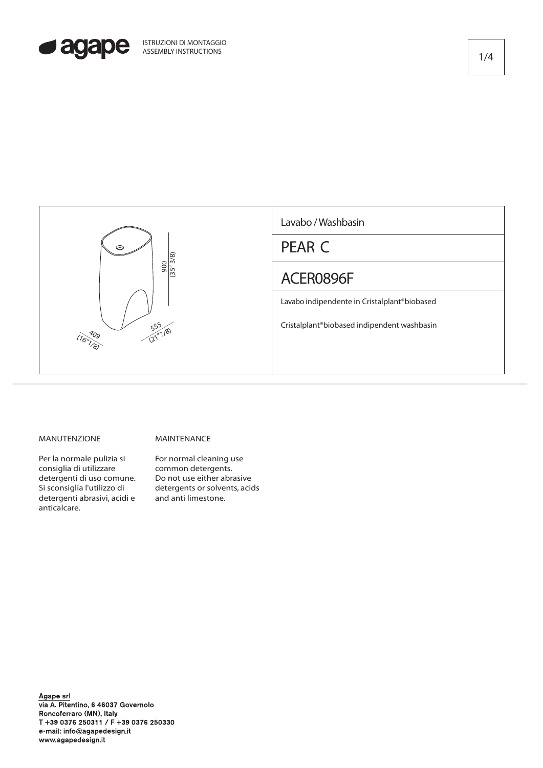



## MANUTENZIONE

MAINTENANCE

Per la normale pulizia si consiglia di utilizzare detergenti di uso comune. Si sconsiglia l'utilizzo di detergenti abrasivi, acidi e anticalcare.

For normal cleaning use common detergents. Do not use either abrasive detergents or solvents, acids<br>and anti limestone.

Agape srl via A. Pitentino, 6 46037 Governolo Roncoferraro (MN), Italy T +39 0376 250311 / F +39 0376 250330 e-mail: info@agapedesign.it www.agapedesign.it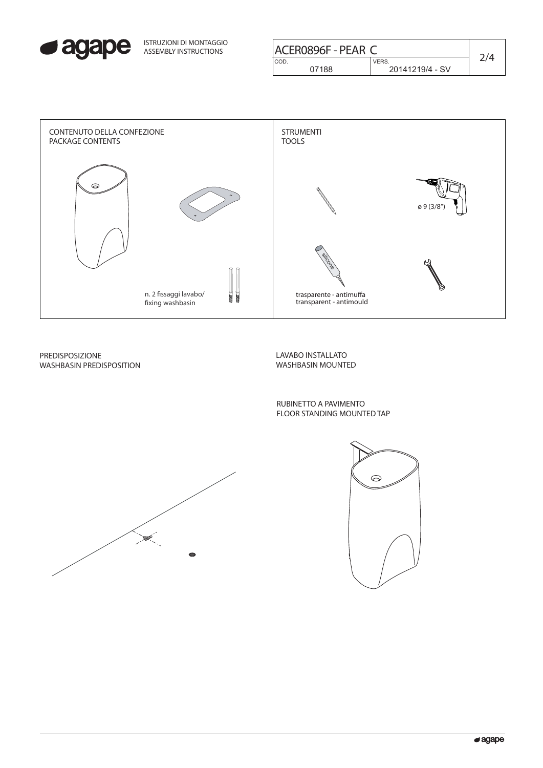

| ISTRUZIONI DI MONTAGGIO<br><b>ASSEMBLY INSTRUCTIONS</b> | <b>ACER0896F - PEAR C</b> |                 |  |
|---------------------------------------------------------|---------------------------|-----------------|--|
|                                                         | CO <sub>D</sub>           | <b>VERS</b>     |  |
|                                                         | 07188                     | 20141219/4 - SV |  |
|                                                         |                           |                 |  |



PREDISPOSIZIONE WASHBASIN PREDISPOSITION LAVABO INSTALLATO WASHBASIN MOUNTED

RUBINETTO A PAVIMENTO FLOOR STANDING MOUNTED TAP



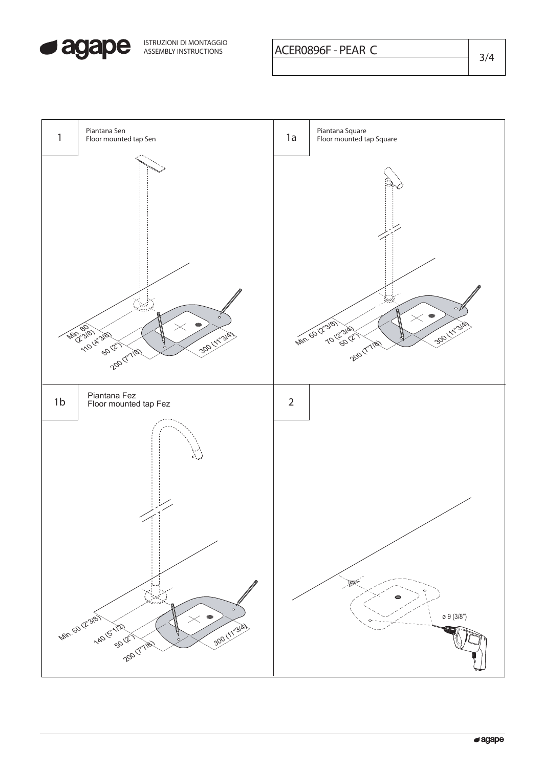

ISTRUZIONI DI MONTAGGIO